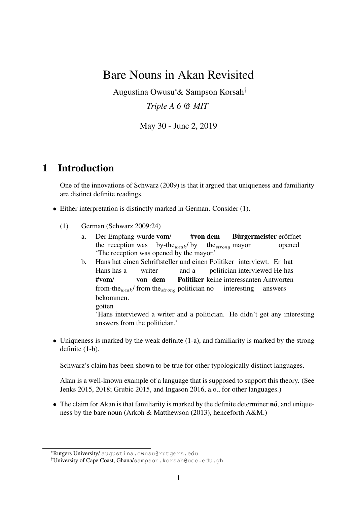# Bare Nouns in Akan Revisited

Augustina Owusu<sup>∗</sup> & Sampson Korsah*† Triple A 6 @ MIT*

May 30 - June 2, 2019

### 1 Introduction

One of the innovations of Schwarz (2009) is that it argued that uniqueness and familiarity are distinct definite readings.

- *•* Either interpretation is distinctly marked in German. Consider (1).
	- (1) German (Schwarz 2009:24)
		- a. Der Empfang wurde vom/ the reception was by-the*weak*/ by #von dem the*strong* mayor Bürgermeister eröffnet opened 'The reception was opened by the mayor.'
		- b. Hans hat einen Schriftsteller und einen Politiker interviewt. Er hat Hans has a writer and a politician interviewed He has #vom/ from-the*weak*/ from the*strong* politician no von dem Politiker keine interessanten Antworten interesting answers bekommen. gotten

'Hans interviewed a writer and a politician. He didn't get any interesting answers from the politician.'

• Uniqueness is marked by the weak definite (1-a), and familiarity is marked by the strong definite (1-b).

Schwarz's claim has been shown to be true for other typologically distinct languages.

Akan is a well-known example of a language that is supposed to support this theory. (See Jenks 2015, 2018; Grubic 2015, and Ingason 2016, a.o., for other languages.)

• The claim for Akan is that familiarity is marked by the definite determiner **no**, and uniqueness by the bare noun (Arkoh & Matthewson (2013), henceforth A&M.)

<sup>∗</sup>Rutgers University/ augustina.owusu@rutgers.edu

*<sup>†</sup>*University of Cape Coast, Ghana/sampson.korsah@ucc.edu.gh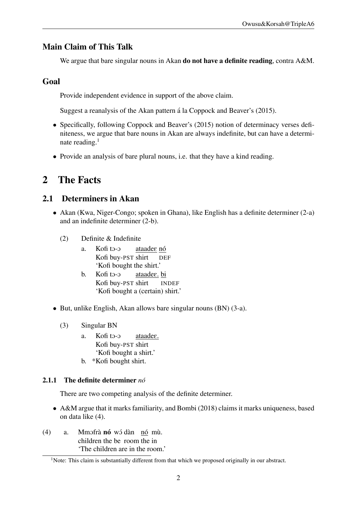### Main Claim of This Talk

We argue that bare singular nouns in Akan do not have a definite reading, contra A&M.

### Goal

Provide independent evidence in support of the above claim.

Suggest a reanalysis of the Akan pattern á la Coppock and Beaver's (2015).

- Specifically, following Coppock and Beaver's (2015) notion of determinacy verses definiteness, we argue that bare nouns in Akan are always indefinite, but can have a determinate reading.<sup>1</sup>
- Provide an analysis of bare plural nouns, i.e. that they have a kind reading.

## 2 The Facts

### 2.1 Determiners in Akan

- Akan (Kwa, Niger-Congo; spoken in Ghana), like English has a definite determiner (2-a) and an indefinite determiner (2-b).
	- (2) Definite & Indefinite
		- a. Kofi to-o Kofi buy-PST shirt <u>ataadee nó</u> DEF 'Kofi bought the shirt.'
		- b. Kofi to-o Kofi buy-PST shirt <u>ataadee. bi</u> INDEF 'Kofi bought a (certain) shirt.'
- *•* But, unlike English, Akan allows bare singular nouns (BN) (3-a).
	- (3) Singular BN
		- a. Kofi to-o Kofi buy-PST shirt ataadeE. 'Kofi bought a shirt.'
		- b. \*Kofi bought shirt.

#### 2.1.1 The definite determiner *no´*

There are two competing analysis of the definite determiner.

- A&M argue that it marks familiarity, and Bombi (2018) claims it marks uniqueness, based on data like (4).
- (4) a. Mmofrà nó wó dàn nó mù. children the be room the in 'The children are in the room.'

<sup>&</sup>lt;sup>1</sup>Note: This claim is substantially different from that which we proposed originally in our abstract.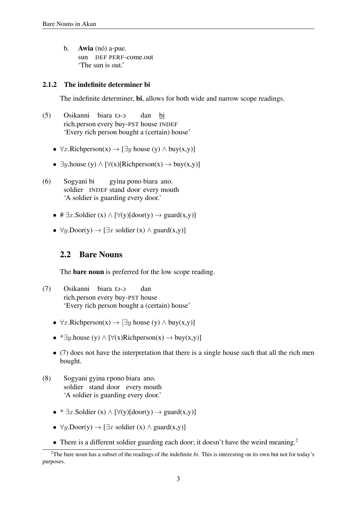b. **Awia** (nó) a-pue. sun DEF PERF-come.out 'The sun is out.'

#### 2.1.2 The indefinite determiner bi

The indefinite determiner, bi, allows for both wide and narrow scope readings.

- (5) Osikanni biara to-o rich.person every buy-PST house INDEF dan bi 'Every rich person bought a (certain) house'
	- $\forall x. \text{Richperson}(x) \rightarrow \exists y \text{ house}(y) \land \text{buy}(x, y)$
	- $\exists y \text{.house (y)} \wedge [\forall (x) [\text{Richperson}(x) \rightarrow buy(x, y)]$
- (6) Sogyani bi soldier INDEF stand door every mouth gyina pono biara ano. 'A soldier is guarding every door.'
	- $\# \exists x$ . Soldier (x)  $\land [\forall (y)[door(y) \rightarrow guard(x, y)]$
	- $\forall y. Door(y) \rightarrow [\exists x \text{ soldier } (x) \land guard(x,y)]$

#### 2.2 Bare Nouns

The bare noun is preferred for the low scope reading.

- (7) Osikanni biara to-o rich.person every buy-PST house dan 'Every rich person bought a (certain) house'
	- $\forall x. \text{Richperson}(x) \rightarrow \exists y \text{ house}(y) \land \text{buy}(x, y)$
	- $\bullet$  \* $\exists y.$ house (y)  $\land$  [ $\forall$ (x)Richperson(x)  $\rightarrow$  buy(x,y)]
	- *•* (7) does not have the interpretation that there is a single house such that all the rich men bought.
- (8) Sogyani gyina Epono biara ano. soldier stand door every mouth 'A soldier is guarding every door.'
	- $\bullet$  \*  $\exists x$ . Soldier (x)  $\land$  [ $\forall$ (y)[door(y)  $\rightarrow$  guard(x,y)]
	- $\forall y. Door(y) \rightarrow [\exists x \text{ soldier } (x) \land guard(x,y)]$
	- There is a different soldier guarding each door; it doesn't have the weird meaning.<sup>2</sup>

<sup>2</sup>The bare noun has a subset of the readings of the indefinite *bi*. This is interesting on its own but not for today's purposes.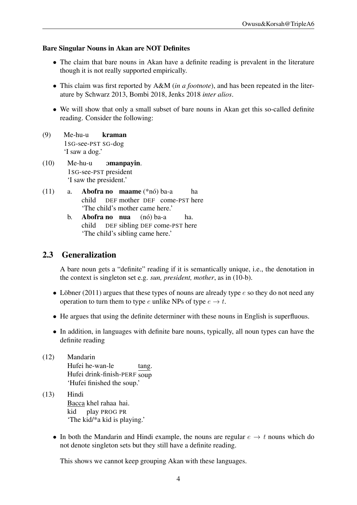#### Bare Singular Nouns in Akan are NOT Definites

- The claim that bare nouns in Akan have a definite reading is prevalent in the literature though it is not really supported empirically.
- *•* This claim was first reported by A&M (*in a footnote*), and has been repeated in the literature by Schwarz 2013, Bombi 2018, Jenks 2018 *inter alios*.
- We will show that only a small subset of bare nouns in Akan get this so-called definite reading. Consider the following:
- (9) Me-hu-u 1SG-see-PST SG-dog kraman 'I saw a dog.'
- (10) Me-hu-u 1SG-see-PST president Omanpayin. 'I saw the president.'
- $(11)$  a. **Abofra no maame**  $(*n6)$  ba-a child DEF mother DEF come-PST here ha 'The child's mother came here.'
	- b. Abofra no nua child DEF sibling DEF come-PST here (nó) ba-a ha. 'The child's sibling came here.'

### 2.3 Generalization

A bare noun gets a "definite" reading if it is semantically unique, i.e., the denotation in the context is singleton set e.g. *sun, president, mother*, as in (10-b).

- Löbner (2011) argues that these types of nouns are already type  $e$  so they do not need any operation to turn them to type *e* unlike NPs of type  $e \rightarrow t$ .
- He argues that using the definite determiner with these nouns in English is superfluous.
- In addition, in languages with definite bare nouns, typically, all noun types can have the definite reading
- (12) Mandarin Hufei he-wan-le Hufei drink-finish-PERF soup tang. 'Hufei finished the soup.'
- (13) Hindi Bacca khel rahaa hai. kid play PROG PR 'The kid/\*a kid is playing.'
	- In both the Mandarin and Hindi example, the nouns are regular  $e \rightarrow t$  nouns which do not denote singleton sets but they still have a definite reading.

This shows we cannot keep grouping Akan with these languages.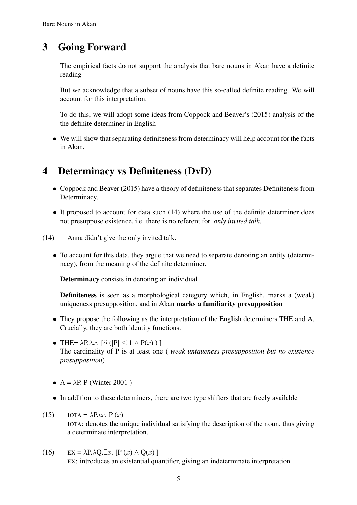## 3 Going Forward

The empirical facts do not support the analysis that bare nouns in Akan have a definite reading

But we acknowledge that a subset of nouns have this so-called definite reading. We will account for this interpretation.

To do this, we will adopt some ideas from Coppock and Beaver's (2015) analysis of the the definite determiner in English

• We will show that separating definiteness from determinacy will help account for the facts in Akan.

## 4 Determinacy vs Definiteness (DvD)

- *•* Coppock and Beaver (2015) have a theory of definiteness that separates Definiteness from Determinacy.
- It proposed to account for data such (14) where the use of the definite determiner does not presuppose existence, i.e. there is no referent for *only invited talk*.
- (14) Anna didn't give the only invited talk.
	- To account for this data, they argue that we need to separate denoting an entity (determinacy), from the meaning of the definite determiner.

Determinacy consists in denoting an individual

Definiteness is seen as a morphological category which, in English, marks a (weak) uniqueness presupposition, and in Akan marks a familiarity presupposition

- *•* They propose the following as the interpretation of the English determiners THE and A. Crucially, they are both identity functions.
- $\bullet$  THE=  $\lambda$ P. $\lambda$ *x*. [∂ (|P| ≤ 1 ∧ P(*x*))] The cardinality of P is at least one ( *weak uniqueness presupposition but no existence presupposition*)
- $A = \lambda P$ . P (Winter 2001)
- In addition to these determiners, there are two type shifters that are freely available
- (15) IOTA =  $\lambda P_t x$ ,  $P(x)$ IOTA: denotes the unique individual satisfying the description of the noun, thus giving a determinate interpretation.
- (16) EX =  $\lambda$ P. $\lambda$ Q. $\exists x$ . [P (*x*)  $\wedge$  Q(*x*) ] EX: introduces an existential quantifier, giving an indeterminate interpretation.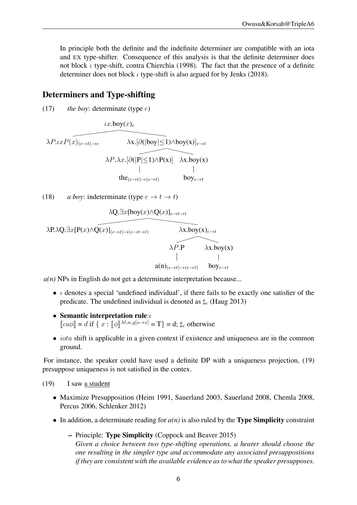In principle both the definite and the indefinite determiner are compatible with an iota and EX type-shifter. Consequence of this analysis is that the definite determiner does not block *ι* type-shift, contra Chierchia (1998). The fact that the presence of a definite determiner does not block  $\iota$  type-shift is also argued for by Jenks (2018).

### Determiners and Type-shifting

(17) *the boy*: determinate (type *e*)

 $\iota x.\mathsf{boy}(x)_{e}$ 

$$
\lambda P. \iota x P(\widehat{x})_{(e \to t) \to e} \qquad \lambda x. [\partial (|\overline{\text{boy}|} \le 1) \wedge \text{boy}(x)]_{e \to t}
$$

$$
\lambda P. \lambda x. [\partial (|\overline{\text{P}}| \le 1) \wedge \text{P}(x)] \qquad \lambda x. \text{boy}(x)
$$

$$
|\text{the}_{(e \to t) \to (e \to t)} \qquad \text{boy}_{e \to t}
$$

(18) *a boy:* indeterminate (type  $e \rightarrow t \rightarrow t$ )

$$
\lambda Q. \exists x [boy(x) \land Q(x)]_{e \to t \to t}
$$
\n
$$
\lambda P. \lambda Q. \exists x [P(x) \land Q(x)]_{(e \to t) \to (e \to t \to t)} \qquad \lambda x. boy(x)_{e \to t}
$$
\n
$$
\lambda P. P \qquad \lambda x. boy(x)
$$
\n
$$
a(n)_{(e \to t) \to (e \to t)} \qquad boy_{e \to t}
$$

*a(n)* NPs in English do not get a determinate interpretation because...

- *•* ι denotes a special 'undefined individual', if there fails to be exactly one satisfier of the predicate. The undefined individual is denoted as  $\sharp_e$  (Haug 2013)
- Semantic interpretation rule:*ι*  $[[\iota u\phi]] = d$  if  $\{x : [\phi]]^{M,w,g[i \to x]} = T\} = d; \sharp_e$  otherwise
- *iota* shift is applicable in a given context if existence and uniqueness are in the common ground.

For instance, the speaker could have used a definite DP with a uniqueness projection, (19) presuppose uniqueness is not satisfied in the contex.

(19) I saw a student

- *•* Maximize Presupposition (Heim 1991, Sauerland 2003, Sauerland 2008, Chemla 2008, Percus 2006, Schlenker 2012)
- In addition, a determinate reading for  $a(n)$  is also ruled by the **Type Simplicity** constraint
	- Principle: Type Simplicity (Coppock and Beaver 2015) *Given a choice between two type-shifting operations, a hearer should choose the one resulting in the simpler type and accommodate any associated presuppositions if they are consistent with the available evidence as to what the speaker presupposes.*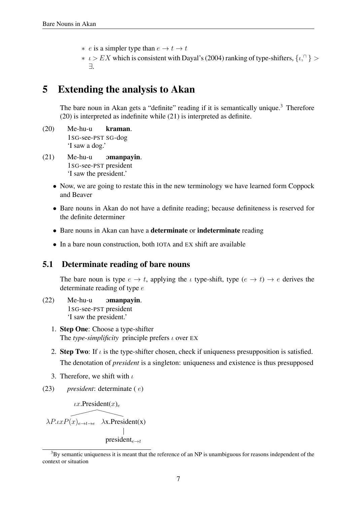- ∗ *e* is a simpler type than *e* → *t* → *t*
- ∗ ι *> EX* which is consistent with Dayal's(2004) ranking of type-shifters, *{*ι*,* <sup>∩</sup> *} >* ∃.

# 5 Extending the analysis to Akan

The bare noun in Akan gets a "definite" reading if it is semantically unique.<sup>3</sup> Therefore (20) is interpreted as indefinite while (21) is interpreted as definite.

- (20) Me-hu-u 1SG-see-PST SG-dog kraman. 'I saw a dog.'
- $(21)$  Me-hu-u 1SG-see-PST president Omanpayin. 'I saw the president.'
	- Now, we are going to restate this in the new terminology we have learned form Coppock and Beaver
	- *•* Bare nouns in Akan do not have a definite reading; because definiteness is reserved for the definite determiner
	- Bare nouns in Akan can have a **determinate** or **indeterminate** reading
	- In a bare noun construction, both IOTA and EX shift are available

#### 5.1 Determinate reading of bare nouns

The bare noun is type  $e \to t$ , applying the *ι* type-shift, type  $(e \to t) \to e$  derives the determinate reading of type *e*

- (22) Me-hu-u 1SG-see-PST president Omanpayin. 'I saw the president.'
	- 1. Step One: Choose a type-shifter The *type-simplificity* principle prefers ι over EX
	- 2. Step Two: If  $\iota$  is the type-shifter chosen, check if uniqueness presupposition is satisfied. The denotation of *president* is a singleton: uniqueness and existence is thus presupposed
	- 3. Therefore, we shift with  $\iota$
- (23) *president*: determinate ( *e*)

 $\iota x$ .President $(x)$ <sub>e</sub>

 $\lambda P \cdot \iota x P(x)_{e \to t \to e}$   $\lambda x \cdot \text{President}(x)$ president*<sup>e</sup>*→*<sup>t</sup>*

 $3$ By semantic uniqueness it is meant that the reference of an NP is unambiguous for reasons independent of the context or situation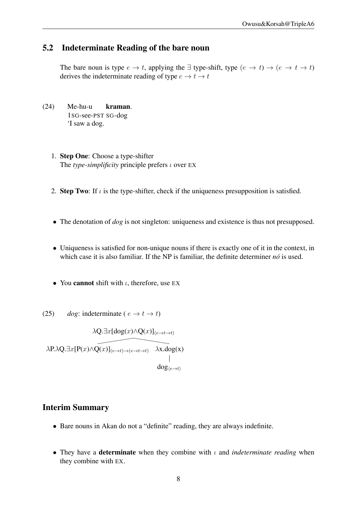#### 5.2 Indeterminate Reading of the bare noun

The bare noun is type  $e \to t$ , applying the  $\exists$  type-shift, type  $(e \to t) \to (e \to t \to t)$ derives the indeterminate reading of type  $e \rightarrow t \rightarrow t$ 

- (24) Me-hu-u 1SG-see-PST SG-dog kraman. 'I saw a dog.
	- 1. Step One: Choose a type-shifter The *type-simplificity* principle prefers ι over EX
	- 2. Step Two: If  $\iota$  is the type-shifter, check if the uniqueness presupposition is satisfied.
	- The denotation of *dog* is not singleton: uniqueness and existence is thus not presupposed.
	- Uniqueness is satisfied for non-unique nouns if there is exactly one of it in the context, in which case it is also familiar. If the NP is familiar, the definite determiner  $n\acute{o}$  is used.
	- You **cannot** shift with *ι*, therefore, use EX
- (25) *dog*: indeterminate ( $e \rightarrow t \rightarrow t$ )

$$
\lambda Q. \exists x [\text{dog}(x) \land Q(x)]_{(e \to t \to t)}
$$
\n
$$
\lambda P. \lambda Q. \exists x [P(x) \land Q(x)]_{(e \to t) \to (e \to t \to t)} \quad \lambda x. \text{dog}(x)
$$
\n
$$
\downarrow
$$
\n
$$
\text{dog}_{\langle e \to t \rangle}
$$

#### Interim Summary

- Bare nouns in Akan do not a "definite" reading, they are always indefinite.
- *•* They have a determinate when they combine with ι and *indeterminate reading* when they combine with EX.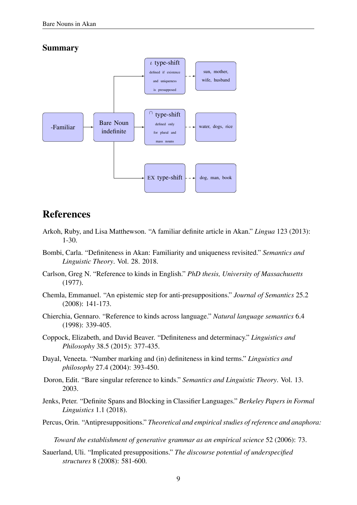#### Summary



### References

- Arkoh, Ruby, and Lisa Matthewson. "A familiar definite article in Akan." *Lingua* 123 (2013): 1-30.
- Bombi, Carla. "Definiteness in Akan: Familiarity and uniqueness revisited." *Semantics and Linguistic Theory*. Vol. 28. 2018.
- Carlson, Greg N. "Reference to kinds in English." *PhD thesis, University of Massachusetts* (1977).
- Chemla, Emmanuel. "An epistemic step for anti-presuppositions." *Journal of Semantics* 25.2 (2008): 141-173.
- Chierchia, Gennaro. "Reference to kinds across language." *Natural language semantics* 6.4 (1998): 339-405.
- Coppock, Elizabeth, and David Beaver. "Definiteness and determinacy." *Linguistics and Philosophy* 38.5 (2015): 377-435.
- Dayal, Veneeta. "Number marking and (in) definiteness in kind terms." *Linguistics and philosophy* 27.4 (2004): 393-450.
- Doron, Edit. "Bare singular reference to kinds." *Semantics and Linguistic Theory*. Vol. 13. 2003.
- Jenks, Peter. "Definite Spans and Blocking in Classifier Languages." *Berkeley Papers in Formal Linguistics* 1.1 (2018).
- Percus, Orin. "Antipresuppositions." *Theoretical and empiricalstudies ofreference and anaphora:*

*Toward the establishment of generative grammar as an empirical science* 52 (2006): 73.

Sauerland, Uli. "Implicated presuppositions." *The discourse potential of underspecified structures* 8 (2008): 581-600.